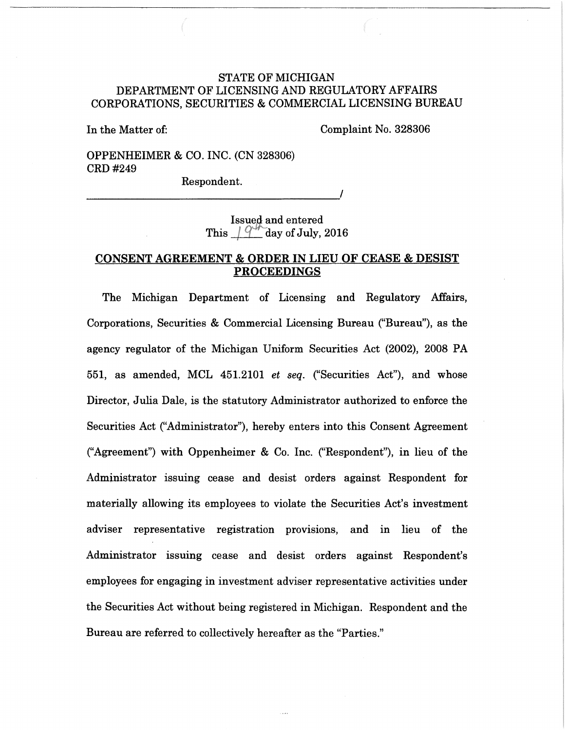# STATE OF MICHIGAN DEPARTMENT OF LICENSING AND REGULATORY AFFAIRS CORPORATIONS, SECURITIES & COMMERCIAL LICENSING BUREAU

In the Matter of:

Complaint No. 328306

OPPENHEIMER & CO. INC. (CN 328306) CRD#249

Respondent.

------------------------------------~'

Issued and entered This  $\frac{1}{9}$  day of July, 2016

## CONSENT AGREEMENT & ORDER IN LIEU OF CEASE & DESIST PROCEEDINGS

The Michigan Department of Licensing and Regulatory Affairs, Corporations, Securities & Commercial Licensing Bureau ("Bureau''), as the agency regulator of the Michigan Uniform Securities Act (2002), 2008 PA 551, as amended, MCL 451.2101 *et seq.* ("Securities Act"), and whose Director, Julia Dale, is the statutory Administrator authorized to enforce the Securities Act ("Administrator"), hereby enters into this Consent Agreement ("Agreement") with Oppenheimer & Co. Inc. ("Respondent"), in lieu of the Administrator issuing cease and desist orders against Respondent for materially allowing its employees to violate the Securities Act's investment adviser representative registration provisions, and in lieu of the Administrator issuing cease and desist orders against Respondent's employees for engaging in investment adviser representative activities under the Securities Act without being registered in Michigan. Respondent and the Bureau are referred to collectively hereafter as the "Parties."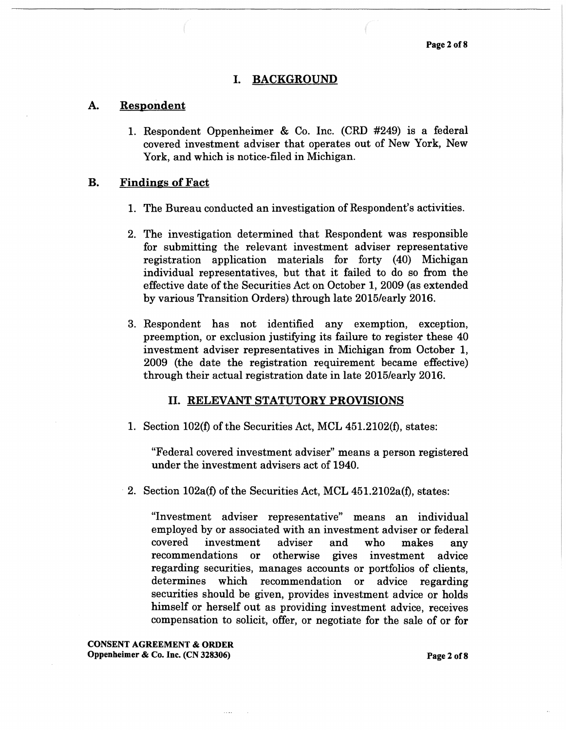#### I. BACKGROUND

### A. Respondent

1. Respondent Oppenheimer & Co. Inc. (CRD #249) is a federal covered investment adviser that operates out of New York, New York, and which is notice-filed in Michigan.

#### B. Findings of Fact

- 1. The Bureau conducted an investigation of Respondent's activities.
- 2. The investigation determined that Respondent was responsible for submitting the relevant investment adviser representative registration application materials for forty (40) Michigan individual representatives, but that it failed to do so from the effective date of the Securities Act on October 1, 2009 (as extended by various Transition Orders) through late 2015/early 2016.
- 3. Respondent has not identified any exemption, exception, preemption, or exclusion justifying its failure to register these 40 investment adviser representatives in Michigan from October 1, 2009 (the date the registration requirement became effective) through their actual registration date in late 2015/early 2016.

### II. RELEVANT STATUTORY PROVISIONS

1. Section 102(f) of the Securities Act, MCL 451.2102(f), states:

"Federal covered investment adviser" means a person registered under the investment advisers act of 1940.

2. Section 102a(f) of the Securities Act, MCL 451.2102a(f), states:

"Investment adviser representative" means an individual employed by or associated with an investment adviser or federal covered investment adviser and who makes any recommendations or otherwise gives investment advice regarding securities, manages accounts or portfolios of clients, determines which recommendation or advice regarding securities should be given, provides investment advice or holds himself or herself out as providing investment advice, receives compensation to solicit, offer, or negotiate for the sale of or for

CONSENT AGREEMENT & ORDER Oppenheimer & Co. Inc. (CN 328306) Page 2 of8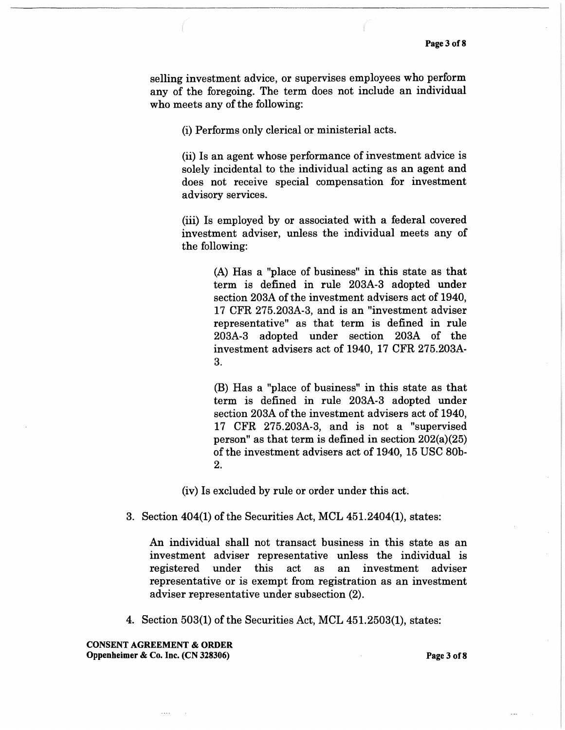selling investment advice, or supervises employees who perform any of the foregoing. The term does not include an individual who meets any of the following:

(i) Performs only clerical or ministerial acts.

(ii) Is an agent whose performance of investment advice is solely incidental to the individual acting as an agent and does not receive special compensation for investment advisory services.

(iii) Is employed by or associated with a federal covered investment adviser, unless the individual meets any of the following:

> (A) Has a "place of business" in this state as that term is defined in rule 203A-3 adopted under section 203A of the investment advisers act of 1940, 17 CFR 275.203A-3, and is an "investment adviser representative" as that term is defined in rule 203A-3 adopted under section 203A of the investment advisers act of 1940, 17 CFR 275.203A-3.

> (B) Has a "place of business" in this state as that term is defined in rule 203A-3 adopted under section 203A of the investment advisers act of 1940, 17 CFR 275.203A-3, and is not a "supervised person" as that term is defined in section 202(a)(25) of the investment advisers act of 1940, 15 USC 80b-2.

(iv) Is excluded by rule or order under this act.

3. Section 404(1) of the Securities Act, MCL 451.2404(1), states:

An individual shall not transact business in this state as an investment adviser representative unless the individual is registered under this act as an investment adviser representative or is exempt from registration as an investment adviser representative under subsection (2).

4. Section 503(1) of the Securities Act, MCL 451.2503(1), states:

CONSENT AGREEMENT & ORDER Oppenheimer & Co. Inc. (CN 328306) Page 3 of8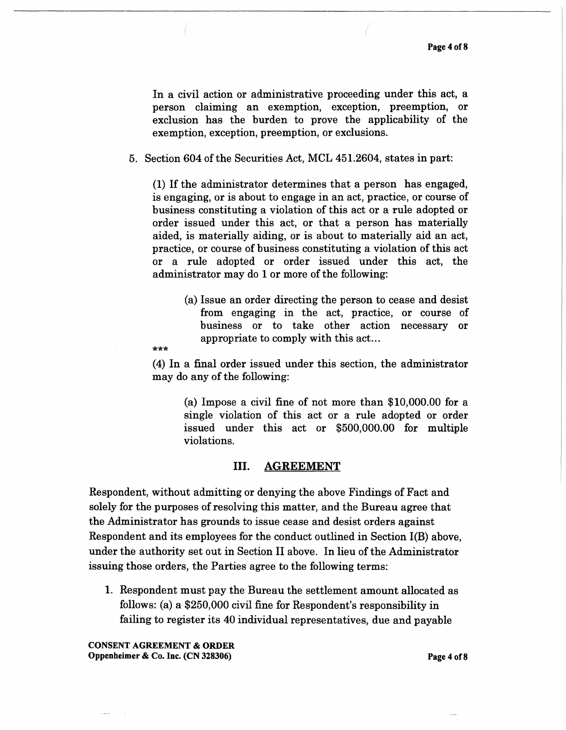In a civil action or administrative proceeding under this act, a person claiming an exemption, exception, preemption, or exclusion has the burden to prove the applicability of the exemption, exception, preemption, or exclusions.

5. Section 604 of the Securities Act, MCL 451.2604, states in part:

(I) If the administrator determines that a person has engaged, is engaging, or is about to engage in an act, practice, or course of business constituting a violation of this act or a rule adopted or order issued under this act, or that a person has materially aided, is materially aiding, or is about to materially aid an act, practice, or course of business constituting a violation of this act or a rule adopted or order issued under this act, the administrator may do I or more of the following:

> (a) Issue an order directing the person to cease and desist from engaging in the act, practice, or course of business or to take other action necessary or appropriate to comply with this act...

 $***$ 

( 4) In a final order issued under this section, the administrator may do any of the following:

(a) Impose a civil fine of not more than \$IO,OOO.OO for a single violation of this act or a rule adopted or order issued under this act or \$500,000.00 for multiple violations.

### III. AGREEMENT

Respondent, without admitting or denying the above Findings of Fact and solely for the purposes of resolving this matter, and the Bureau agree that the Administrator has grounds to issue cease and desist orders against Respondent and its employees for the conduct outlined in Section I(B) above, under the authority set out in Section II above. In lieu of the Administrator issuing those orders, the Parties agree to the following terms:

I. Respondent must pay the Bureau the settlement amount allocated as follows: (a) a \$250,000 civil fine for Respondent's responsibility in failing to register its 40 individual representatives, due and payable

CONSENT AGREEMENT & ORDER Oppenheimer & Co. Inc. (CN 328306) Page 4 of8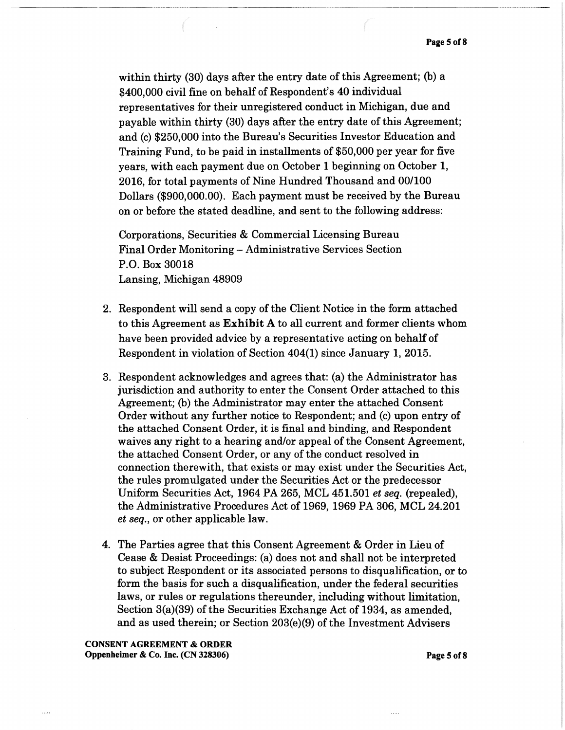within thirty (30) days after the entry date of this Agreement; (b) a \$400,000 civil fine on behalf of Respondent's 40 individual representatives for their unregistered conduct in Michigan, due and payable within thirty (30) days after the entry date of this Agreement; and (c) \$250,000 into the Bureau's Securities Investor Education and Training Fund, to be paid in installments of \$50,000 per year for five years, with each payment due on October 1 beginning on October 1, 2016, for total payments of Nine Hundred Thousand and 00/100 Dollars (\$900,000.00). Each payment must be received by the Bureau on or before the stated deadline, and sent to the following address:

Corporations, Securities & Commercial Licensing Bureau Final Order Monitoring- Administrative Services Section P.O. Box 30018 Lansing, Michigan 48909

- 2. Respondent will send a copy of the Client Notice in the form attached to this Agreement as Exhibit A to all current and former clients whom have been provided advice by a representative acting on behalf of Respondent in violation of Section 404(1) since January 1, 2015.
- 3. Respondent acknowledges and agrees that: (a) the Administrator has jurisdiction and authority to enter the Consent Order attached to this Agreement; (b) the Administrator may enter the attached Consent Order without any further notice to Respondent; and (c) upon entry of the attached Consent Order, it is final and binding, and Respondent waives any right to a hearing and/or appeal of the Consent Agreement, the attached Consent Order, or any of the conduct resolved in connection therewith, that exists or may exist under the Securities Act, the rules promulgated under the Securities Act or the predecessor Uniform Securities Act, 1964 PA 265, MCL 451.501 *et seq.* (repealed), the Administrative Procedures Act of 1969, 1969 PA 306, MCL 24.201 *et seq.,* or other applicable law.
- 4. The Parties agree that this Consent Agreement & Order in Lieu of Cease & Desist Proceedings: (a) does not and shall not be interpreted to subject Respondent or its associated persons to disqualification, or to form the basis for such a disqualification, under the federal securities laws, or rules or regulations thereunder, including without limitation, Section 3(a)(39) of the Securities Exchange Act of 1934, as amended, and as used therein; or Section 203(e)(9) of the Investment Advisers

CONSENT AGREEMENT & ORDER Oppenheimer & Co. Inc. (CN 328306) Page 5 of8

 $\cdots$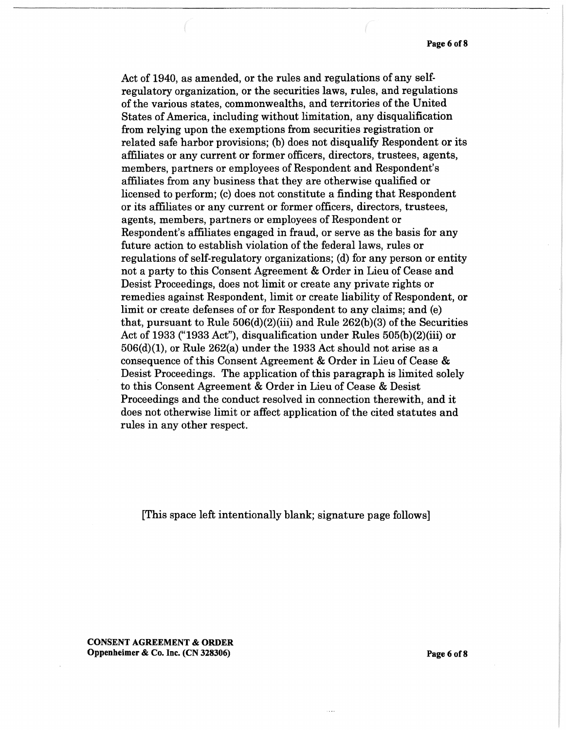Act of 1940, as amended, or the rules and regulations of any selfregulatory organization, or the securities laws, rules, and regulations of the various states, commonwealths, and territories of the United States of America, including without limitation, any disqualification from relying upon the exemptions from securities registration or related safe harbor provisions; (b) does not disqualify Respondent or its affiliates or any current or former officers, directors, trustees, agents, members, partners or employees of Respondent and Respondent's affiliates from any business that they are otherwise qualified or licensed to perform; (c) does not constitute a finding that Respondent or its affiliates or any current or former officers, directors, trustees, agents, members, partners or employees of Respondent or Respondent's affiliates engaged in fraud, or serve as the basis for any future action to establish violation of the federal laws, rules or regulations of self-regulatory organizations; (d) for any person or entity not a party to this Consent Agreement & Order in Lieu of Cease and Desist Proceedings, does not limit or create any private rights or remedies against Respondent, limit or create liability of Respondent, or limit or create defenses of or for Respondent to any claims; and (e) that, pursuant to Rule  $506(d)(2)(iii)$  and Rule  $262(b)(3)$  of the Securities Act of 1933 ("1933 Act"), disqualification under Rules 505(b)(2)(iii) or  $506(d)(1)$ , or Rule  $262(a)$  under the 1933 Act should not arise as a consequence of this Consent Agreement & Order in Lieu of Cease & Desist Proceedings. The application of this paragraph is limited solely to this Consent Agreement & Order in Lieu of Cease & Desist Proceedings and the conduct resolved in connection therewith, and it does not otherwise limit or affect application of the cited statutes and rules in any other respect.

[This space left intentionally blank; signature page follows]

CONSENT AGREEMENT & ORDER Oppenheimer & Co. Inc. (CN 328306) Page 6 of 8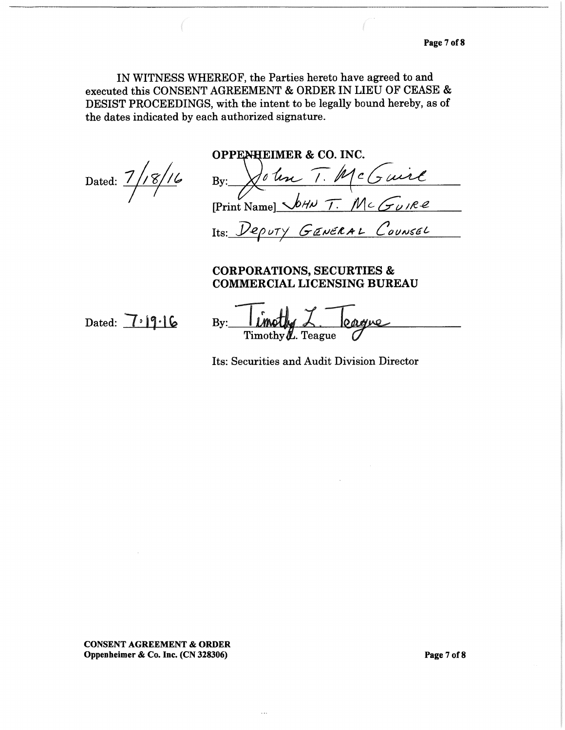IN WITNESS WHEREOF, the Parties hereto have agreed to and executed this CONSENT AGREEMENT & ORDER IN LIEU OF CEASE & DESIST PROCEEDINGS, with the intent to be legally bound hereby, as of the dates indicated by each authorized signature.

OPPENHEIMER & CO. INC.<br>Dated: 7/18/16 By: <u>John T. McGuil</u>  $[Print Name]$   $\sqrt{hH}$  T. Mc GUIRE Its: *Deputy GENERAL Counsel* 

# CORPORATIONS, SECURTIES & COMMERCIAL LICENSING BUREAU

Dated:  $7.19.16$ 

By: **I LANGUAG**  $\angle$ .<br>Timothy **L**. Teague

Its: Securities and Audit Division Director

CONSENT AGREEMENT & ORDER Oppenheimer & Co. Inc. (CN 328306) Page7of8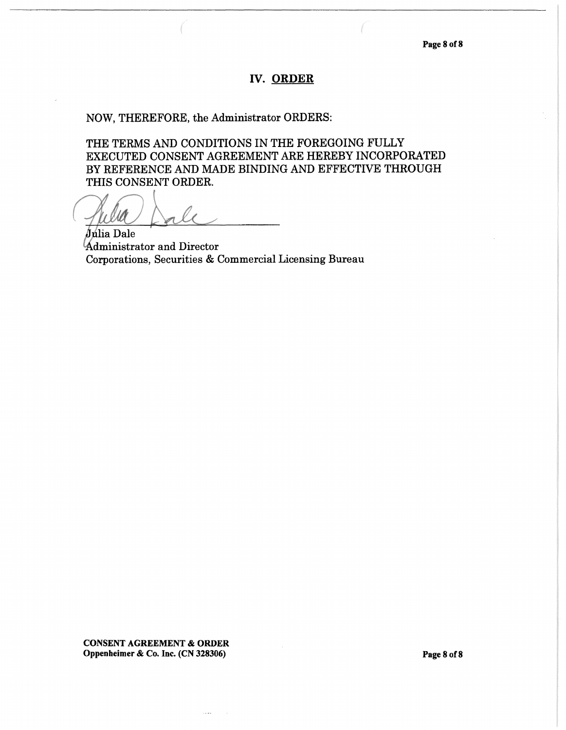### IV. ORDER

# NOW, THEREFORE, the Administrator ORDERS:

THE TERMS AND CONDITIONS IN THE FOREGOING FULLY EXECUTED CONSENT AGREEMENT ARE HEREBY INCORPORATED BY REFERENCE AND MADE BINDING AND EFFECTIVE THROUGH THIS CONSENT ORDER.

Julia Dale dministrator and Director Corporations, Securities & Commercial Licensing Bureau

CONSENT AGREEMENT & ORDER Oppenheimer & Co. Inc. (CN 328306) Page 8 of 8

 $\sim 100$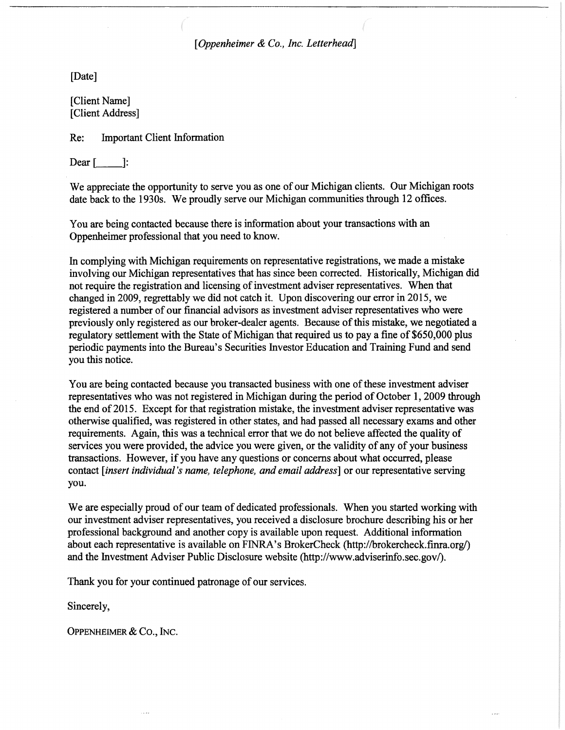*[Oppenheimer & Co., Inc. Letterhead]* 

[Date]

[Client Name] [Client Address]

Re: Important Client Information

Dear  $[$   $]$ :

We appreciate the opportunity to serve you as one of our Michigan clients. Our Michigan roots date back to the 1930s. We proudly serve our Michigan communities through 12 offices.

You are being contacted because there is information about your transactions with an Oppenheimer professional that you need to know.

In complying with Michigan requirements on representative registrations, we made a mistake involving our Michigan representatives that has since been corrected. Historically, Michigan did not require the registration and licensing of investment adviser representatives. When that changed in 2009, regrettably we did not catch it. Upon discovering our error in 2015, we registered a number of our financial advisors as investment adviser representatives who were previously only registered as our broker-dealer agents. Because of this mistake, we negotiated a regulatory settlement with the State of Michigan that required us to pay a fine of \$650,000 plus periodic payments into the Bureau's Securities Investor Education and Training Fund and send you this notice.

You are being contacted because you transacted business with one of these investment adviser representatives who was not registered in Michigan during the period of October 1, 2009 through the end of 2015. Except for that registration mistake, the investment adviser representative was otherwise qualified, was registered in other states, and had passed all necessary exams and other requirements. Again, this was a technical error that we do not believe affected the quality of services you were provided, the advice you were given, or the validity of any of your business transactions. However, if you have any questions or concerns about what occurred, please contact *[insert individual's name, telephone, and email address]* or our representative serving you.

We are especially proud of our team of dedicated professionals. When you started working with our investment adviser representatives, you received a disclosure brochure describing his or her professional background and another copy is available upon request. Additional information about each representative is available on FINRA's BrokerCheck (http://brokercheck.fmra.org/) and the Investment Adviser Public Disclosure website (http://www.adviserinfo.sec.gov/).

Thank you for your continued patronage of our services.

Sincerely,

OPPENHEIMER & Co., INC.